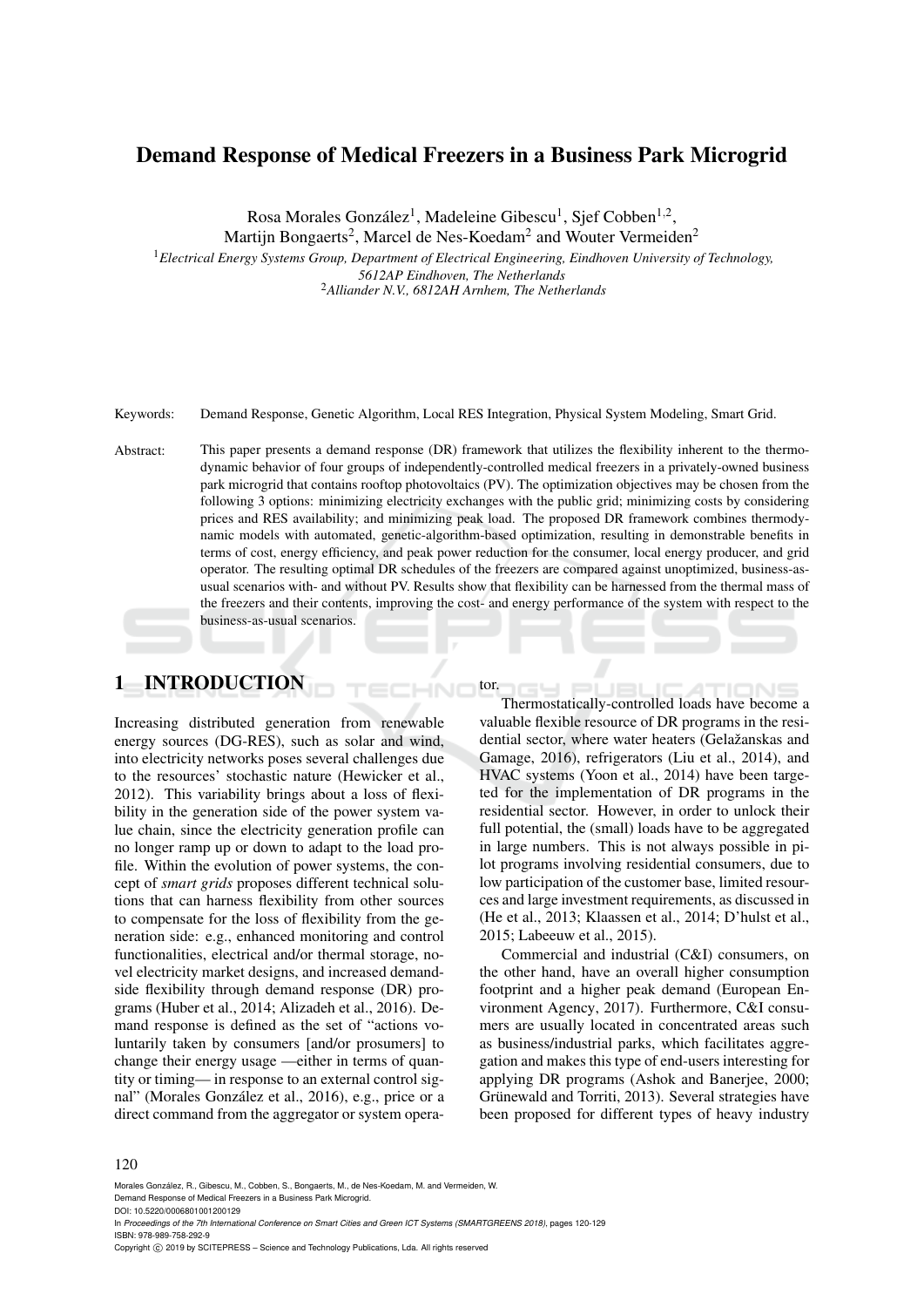# Demand Response of Medical Freezers in a Business Park Microgrid

Rosa Morales González<sup>1</sup>, Madeleine Gibescu<sup>1</sup>, Sjef Cobben<sup>1,2</sup>, Martijn Bongaerts<sup>2</sup>, Marcel de Nes-Koedam<sup>2</sup> and Wouter Vermeiden<sup>2</sup>

<sup>1</sup>*Electrical Energy Systems Group, Department of Electrical Engineering, Eindhoven University of Technology, 5612AP Eindhoven, The Netherlands* <sup>2</sup>*Alliander N.V., 6812AH Arnhem, The Netherlands*

Keywords: Demand Response, Genetic Algorithm, Local RES Integration, Physical System Modeling, Smart Grid.

Abstract: This paper presents a demand response (DR) framework that utilizes the flexibility inherent to the thermodynamic behavior of four groups of independently-controlled medical freezers in a privately-owned business park microgrid that contains rooftop photovoltaics (PV). The optimization objectives may be chosen from the following 3 options: minimizing electricity exchanges with the public grid; minimizing costs by considering prices and RES availability; and minimizing peak load. The proposed DR framework combines thermodynamic models with automated, genetic-algorithm-based optimization, resulting in demonstrable benefits in terms of cost, energy efficiency, and peak power reduction for the consumer, local energy producer, and grid operator. The resulting optimal DR schedules of the freezers are compared against unoptimized, business-asusual scenarios with- and without PV. Results show that flexibility can be harnessed from the thermal mass of the freezers and their contents, improving the cost- and energy performance of the system with respect to the business-as-usual scenarios.

tor.

## 1 INTRODUCTION

Increasing distributed generation from renewable energy sources (DG-RES), such as solar and wind, into electricity networks poses several challenges due to the resources' stochastic nature (Hewicker et al., 2012). This variability brings about a loss of flexibility in the generation side of the power system value chain, since the electricity generation profile can no longer ramp up or down to adapt to the load profile. Within the evolution of power systems, the concept of *smart grids* proposes different technical solutions that can harness flexibility from other sources to compensate for the loss of flexibility from the generation side: e.g., enhanced monitoring and control functionalities, electrical and/or thermal storage, novel electricity market designs, and increased demandside flexibility through demand response (DR) programs (Huber et al., 2014; Alizadeh et al., 2016). Demand response is defined as the set of "actions voluntarily taken by consumers [and/or prosumers] to change their energy usage —either in terms of quantity or timing— in response to an external control signal" (Morales González et al., 2016), e.g., price or a direct command from the aggregator or system opera-

Thermostatically-controlled loads have become a valuable flexible resource of DR programs in the residential sector, where water heaters (Gelažanskas and Gamage, 2016), refrigerators (Liu et al., 2014), and HVAC systems (Yoon et al., 2014) have been targeted for the implementation of DR programs in the residential sector. However, in order to unlock their full potential, the (small) loads have to be aggregated in large numbers. This is not always possible in pilot programs involving residential consumers, due to low participation of the customer base, limited resources and large investment requirements, as discussed in (He et al., 2013; Klaassen et al., 2014; D'hulst et al., 2015; Labeeuw et al., 2015).

Commercial and industrial (C&I) consumers, on the other hand, have an overall higher consumption footprint and a higher peak demand (European Environment Agency, 2017). Furthermore, C&I consumers are usually located in concentrated areas such as business/industrial parks, which facilitates aggregation and makes this type of end-users interesting for applying DR programs (Ashok and Banerjee, 2000; Grünewald and Torriti, 2013). Several strategies have been proposed for different types of heavy industry

#### 120

Morales González, R., Gibescu, M., Cobben, S., Bongaerts, M., de Nes-Koedam, M. and Vermeiden, W. Demand Response of Medical Freezers in a Business Park Microgrid.

DOI: 10.5220/0006801001200129

In *Proceedings of the 7th International Conference on Smart Cities and Green ICT Systems (SMARTGREENS 2018)*, pages 120-129 ISBN: 978-989-758-292-9

Copyright © 2019 by SCITEPRESS - Science and Technology Publications, Lda. All rights reserved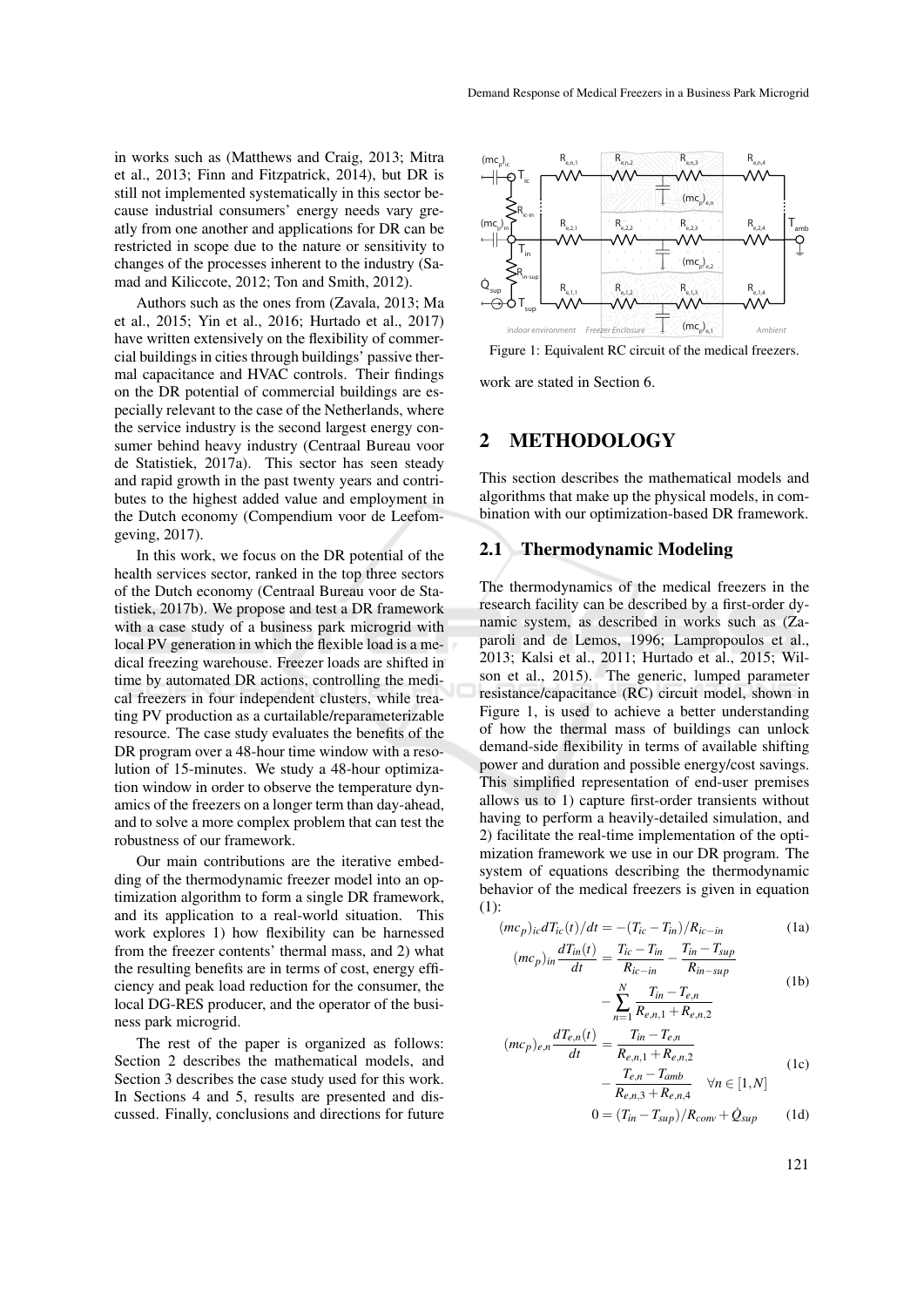in works such as (Matthews and Craig, 2013; Mitra et al., 2013; Finn and Fitzpatrick, 2014), but DR is still not implemented systematically in this sector because industrial consumers' energy needs vary greatly from one another and applications for DR can be restricted in scope due to the nature or sensitivity to changes of the processes inherent to the industry (Samad and Kiliccote, 2012; Ton and Smith, 2012).

Authors such as the ones from (Zavala, 2013; Ma et al., 2015; Yin et al., 2016; Hurtado et al., 2017) have written extensively on the flexibility of commercial buildings in cities through buildings' passive thermal capacitance and HVAC controls. Their findings on the DR potential of commercial buildings are especially relevant to the case of the Netherlands, where the service industry is the second largest energy consumer behind heavy industry (Centraal Bureau voor de Statistiek, 2017a). This sector has seen steady and rapid growth in the past twenty years and contributes to the highest added value and employment in the Dutch economy (Compendium voor de Leefomgeving, 2017).

In this work, we focus on the DR potential of the health services sector, ranked in the top three sectors of the Dutch economy (Centraal Bureau voor de Statistiek, 2017b). We propose and test a DR framework with a case study of a business park microgrid with local PV generation in which the flexible load is a medical freezing warehouse. Freezer loads are shifted in time by automated DR actions, controlling the medical freezers in four independent clusters, while treating PV production as a curtailable/reparameterizable resource. The case study evaluates the benefits of the DR program over a 48-hour time window with a resolution of 15-minutes. We study a 48-hour optimization window in order to observe the temperature dynamics of the freezers on a longer term than day-ahead, and to solve a more complex problem that can test the robustness of our framework.

Our main contributions are the iterative embedding of the thermodynamic freezer model into an optimization algorithm to form a single DR framework, and its application to a real-world situation. This work explores 1) how flexibility can be harnessed from the freezer contents' thermal mass, and 2) what the resulting benefits are in terms of cost, energy efficiency and peak load reduction for the consumer, the local DG-RES producer, and the operator of the business park microgrid.

The rest of the paper is organized as follows: Section 2 describes the mathematical models, and Section 3 describes the case study used for this work. In Sections 4 and 5, results are presented and discussed. Finally, conclusions and directions for future



Figure 1: Equivalent RC circuit of the medical freezers.

work are stated in Section 6.

### 2 METHODOLOGY

This section describes the mathematical models and algorithms that make up the physical models, in combination with our optimization-based DR framework.

### 2.1 Thermodynamic Modeling

The thermodynamics of the medical freezers in the research facility can be described by a first-order dynamic system, as described in works such as (Zaparoli and de Lemos, 1996; Lampropoulos et al., 2013; Kalsi et al., 2011; Hurtado et al., 2015; Wilson et al., 2015). The generic, lumped parameter resistance/capacitance (RC) circuit model, shown in Figure 1, is used to achieve a better understanding of how the thermal mass of buildings can unlock demand-side flexibility in terms of available shifting power and duration and possible energy/cost savings. This simplified representation of end-user premises allows us to 1) capture first-order transients without having to perform a heavily-detailed simulation, and 2) facilitate the real-time implementation of the optimization framework we use in our DR program. The system of equations describing the thermodynamic behavior of the medical freezers is given in equation (1):

$$
(mc_p)_{ic}dT_{ic}(t)/dt = -(T_{ic} - T_{in})/R_{ic-in}
$$
 (1a)

$$
(mc_p)_{in} \frac{dT_{in}(t)}{dt} = \frac{T_{ic} - T_{in}}{R_{in}} - \frac{T_{in} - T_{sup}}{R_{in}}.
$$

$$
R_{ic-in} \t R_{in-sup}
$$
  
- 
$$
\sum_{n=1}^{N} \frac{T_{in} - T_{e,n}}{R_{e,n,1} + R_{e,n,2}}
$$
 (1b)

$$
(mc_p)_{e,n} \frac{dT_{e,n}(t)}{dt} = \frac{T_{in} - T_{e,n}}{R_{e,n,1} + R_{e,n,2}} - \frac{T_{e,n} - T_{amb}}{R_{e,n,3} + R_{e,n,4}} \quad \forall n \in [1, N]
$$
 (1c)

$$
0 = (T_{in} - T_{sup})/R_{conv} + \dot{Q}_{sup}
$$
 (1d)

121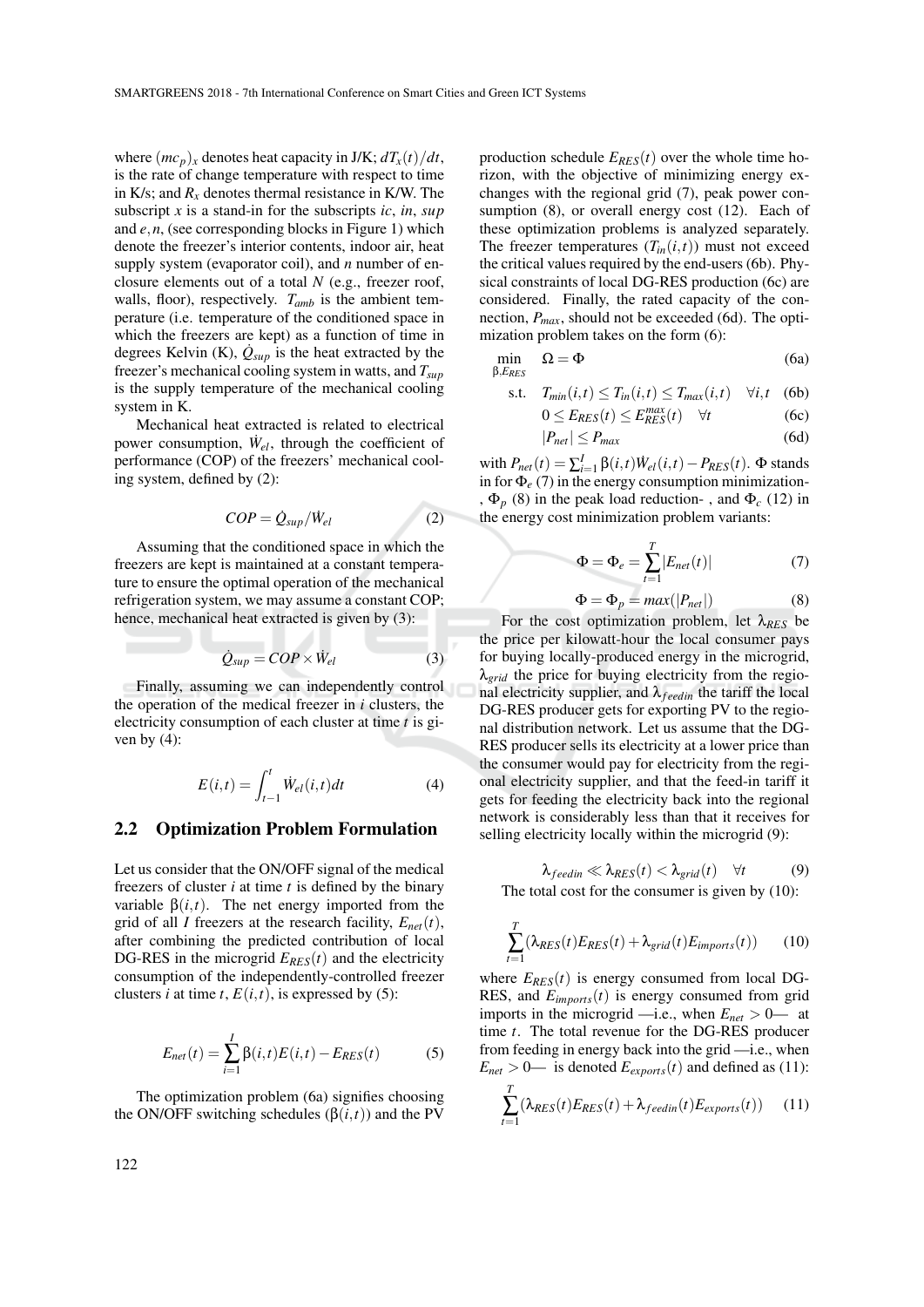where  $(mc_p)_x$  denotes heat capacity in J/K;  $dT_x(t)/dt$ , is the rate of change temperature with respect to time in K/s; and  $R_x$  denotes thermal resistance in K/W. The subscript *x* is a stand-in for the subscripts *ic*, *in*, *sup* and *e*,*n*, (see corresponding blocks in Figure 1) which denote the freezer's interior contents, indoor air, heat supply system (evaporator coil), and *n* number of enclosure elements out of a total *N* (e.g., freezer roof, walls, floor), respectively. *Tamb* is the ambient temperature (i.e. temperature of the conditioned space in which the freezers are kept) as a function of time in degrees Kelvin (K),  $\dot{Q}_{\text{sup}}$  is the heat extracted by the freezer's mechanical cooling system in watts, and *Tsup* is the supply temperature of the mechanical cooling system in K.

Mechanical heat extracted is related to electrical power consumption,  $\dot{W}_{el}$ , through the coefficient of performance (COP) of the freezers' mechanical cooling system, defined by (2):

$$
COP = \dot{Q}_{\text{sup}} / \dot{W}_{el} \tag{2}
$$

Assuming that the conditioned space in which the freezers are kept is maintained at a constant temperature to ensure the optimal operation of the mechanical refrigeration system, we may assume a constant COP; hence, mechanical heat extracted is given by (3):

$$
\dot{Q}_{sup} = COP \times \dot{W}_{el} \tag{3}
$$

Finally, assuming we can independently control the operation of the medical freezer in *i* clusters, the electricity consumption of each cluster at time *t* is given by  $(4)$ :

$$
E(i,t) = \int_{t-1}^{t} \dot{W}_{el}(i,t)dt
$$
 (4)

#### 2.2 Optimization Problem Formulation

Let us consider that the ON/OFF signal of the medical freezers of cluster *i* at time *t* is defined by the binary variable  $β(i, t)$ . The net energy imported from the grid of all *I* freezers at the research facility,  $E_{net}(t)$ , after combining the predicted contribution of local DG-RES in the microgrid  $E_{RES}(t)$  and the electricity consumption of the independently-controlled freezer clusters *i* at time *t*,  $E(i,t)$ , is expressed by (5):

$$
E_{net}(t) = \sum_{i=1}^{I} \beta(i, t) E(i, t) - E_{RES}(t)
$$
 (5)

The optimization problem (6a) signifies choosing the ON/OFF switching schedules  $(\beta(i, t))$  and the PV

production schedule  $E_{RES}(t)$  over the whole time horizon, with the objective of minimizing energy exchanges with the regional grid (7), peak power consumption (8), or overall energy cost (12). Each of these optimization problems is analyzed separately. The freezer temperatures  $(T_{in}(i,t))$  must not exceed the critical values required by the end-users (6b). Physical constraints of local DG-RES production (6c) are considered. Finally, the rated capacity of the connection, *Pmax*, should not be exceeded (6d). The optimization problem takes on the form (6):

$$
\min_{\beta, E_{RES}} \Omega = \Phi \tag{6a}
$$

$$
\text{s.t.} \quad T_{min}(i, t) \le T_{in}(i, t) \le T_{max}(i, t) \quad \forall i, t \quad (6b)
$$

$$
0 \le E_{RES}(t) \le E_{RES}^{max}(t) \quad \forall t \tag{6c}
$$

$$
|P_{net}| \le P_{max} \tag{6d}
$$

with  $P_{net}(t) = \sum_{i=1}^{I} \beta(i, t) \dot{W}_{el}(i, t) - P_{RES}(t)$ .  $\Phi$  stands in for  $\Phi_e$  (7) in the energy consumption minimization-,  $\Phi_p$  (8) in the peak load reduction-, and  $\Phi_c$  (12) in the energy cost minimization problem variants:

$$
\Phi = \Phi_e = \sum_{t=1}^{T} |E_{net}(t)| \tag{7}
$$

$$
\Phi = \Phi_p = \max(|P_{net}|) \tag{8}
$$

For the cost optimization problem, let λ*RES* be the price per kilowatt-hour the local consumer pays for buying locally-produced energy in the microgrid, λ*grid* the price for buying electricity from the regional electricity supplier, and  $\lambda_{feedin}$  the tariff the local DG-RES producer gets for exporting PV to the regional distribution network. Let us assume that the DG-RES producer sells its electricity at a lower price than the consumer would pay for electricity from the regional electricity supplier, and that the feed-in tariff it gets for feeding the electricity back into the regional network is considerably less than that it receives for selling electricity locally within the microgrid (9):

$$
\lambda_{feedin} \ll \lambda_{RES}(t) < \lambda_{grid}(t) \quad \forall t \tag{9}
$$
\nThe total cost for the consumer is given by (10):

$$
\sum_{t=1}^{T} (\lambda_{RES}(t) E_{RES}(t) + \lambda_{grid}(t) E_{imports}(t))
$$
 (10)

where  $E_{RES}(t)$  is energy consumed from local DG-RES, and  $E_{\text{imports}}(t)$  is energy consumed from grid imports in the microgrid —i.e., when  $E_{net} > 0$ — at time *t*. The total revenue for the DG-RES producer from feeding in energy back into the grid —i.e., when  $E_{net} > 0$ — is denoted  $E_{exports}(t)$  and defined as (11):

$$
\sum_{t=1}^{T} (\lambda_{RES}(t)E_{RES}(t) + \lambda_{feedin}(t)E_{exports}(t))
$$
 (11)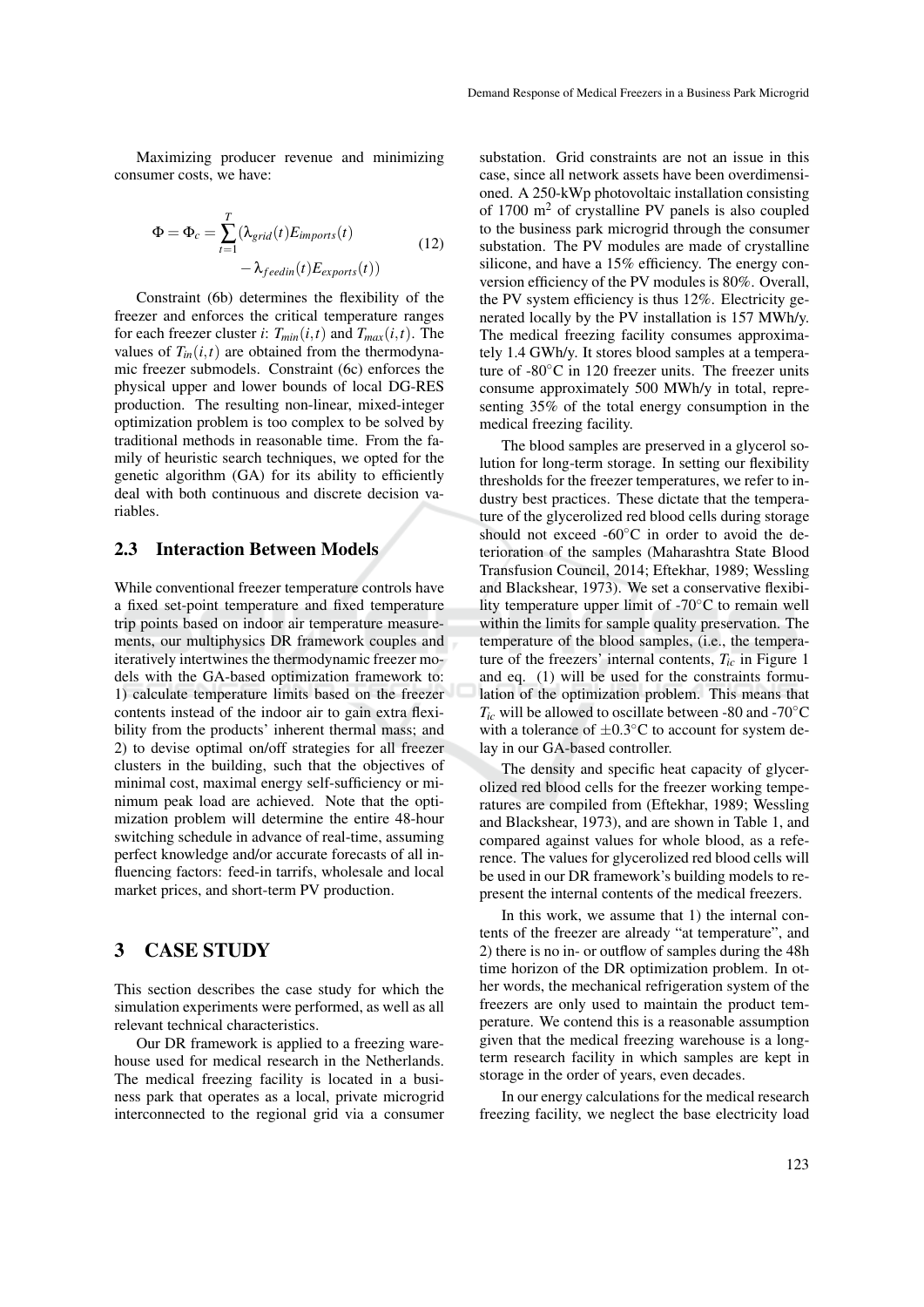Maximizing producer revenue and minimizing consumer costs, we have:

$$
\Phi = \Phi_c = \sum_{t=1}^{T} (\lambda_{grid}(t)E_{imports}(t) - \lambda_{feedin}(t)E_{exports}(t))
$$
\n(12)

Constraint (6b) determines the flexibility of the freezer and enforces the critical temperature ranges for each freezer cluster *i*:  $T_{min}(i,t)$  and  $T_{max}(i,t)$ . The values of  $T_{in}(i,t)$  are obtained from the thermodynamic freezer submodels. Constraint (6c) enforces the physical upper and lower bounds of local DG-RES production. The resulting non-linear, mixed-integer optimization problem is too complex to be solved by traditional methods in reasonable time. From the family of heuristic search techniques, we opted for the genetic algorithm (GA) for its ability to efficiently deal with both continuous and discrete decision variables.

#### 2.3 Interaction Between Models

While conventional freezer temperature controls have a fixed set-point temperature and fixed temperature trip points based on indoor air temperature measurements, our multiphysics DR framework couples and iteratively intertwines the thermodynamic freezer models with the GA-based optimization framework to: 1) calculate temperature limits based on the freezer contents instead of the indoor air to gain extra flexibility from the products' inherent thermal mass; and 2) to devise optimal on/off strategies for all freezer clusters in the building, such that the objectives of minimal cost, maximal energy self-sufficiency or minimum peak load are achieved. Note that the optimization problem will determine the entire 48-hour switching schedule in advance of real-time, assuming perfect knowledge and/or accurate forecasts of all influencing factors: feed-in tarrifs, wholesale and local market prices, and short-term PV production.

## 3 CASE STUDY

This section describes the case study for which the simulation experiments were performed, as well as all relevant technical characteristics.

Our DR framework is applied to a freezing warehouse used for medical research in the Netherlands. The medical freezing facility is located in a business park that operates as a local, private microgrid interconnected to the regional grid via a consumer

substation. Grid constraints are not an issue in this case, since all network assets have been overdimensioned. A 250-kWp photovoltaic installation consisting of  $1700 \text{ m}^2$  of crystalline PV panels is also coupled to the business park microgrid through the consumer substation. The PV modules are made of crystalline silicone, and have a 15% efficiency. The energy conversion efficiency of the PV modules is 80%. Overall, the PV system efficiency is thus 12%. Electricity generated locally by the PV installation is 157 MWh/y. The medical freezing facility consumes approximately 1.4 GWh/y. It stores blood samples at a temperature of  $-80^{\circ}$ C in 120 freezer units. The freezer units consume approximately 500 MWh/y in total, representing 35% of the total energy consumption in the medical freezing facility.

The blood samples are preserved in a glycerol solution for long-term storage. In setting our flexibility thresholds for the freezer temperatures, we refer to industry best practices. These dictate that the temperature of the glycerolized red blood cells during storage should not exceed - $60^{\circ}$ C in order to avoid the deterioration of the samples (Maharashtra State Blood Transfusion Council, 2014; Eftekhar, 1989; Wessling and Blackshear, 1973). We set a conservative flexibility temperature upper limit of -70◦C to remain well within the limits for sample quality preservation. The temperature of the blood samples, (i.e., the temperature of the freezers' internal contents,  $T_{ic}$  in Figure 1 and eq. (1) will be used for the constraints formulation of the optimization problem. This means that  $T_{ic}$  will be allowed to oscillate between -80 and -70°C with a tolerance of  $\pm 0.3$ °C to account for system delay in our GA-based controller.

The density and specific heat capacity of glycerolized red blood cells for the freezer working temperatures are compiled from (Eftekhar, 1989; Wessling and Blackshear, 1973), and are shown in Table 1, and compared against values for whole blood, as a reference. The values for glycerolized red blood cells will be used in our DR framework's building models to represent the internal contents of the medical freezers.

In this work, we assume that 1) the internal contents of the freezer are already "at temperature", and 2) there is no in- or outflow of samples during the 48h time horizon of the DR optimization problem. In other words, the mechanical refrigeration system of the freezers are only used to maintain the product temperature. We contend this is a reasonable assumption given that the medical freezing warehouse is a longterm research facility in which samples are kept in storage in the order of years, even decades.

In our energy calculations for the medical research freezing facility, we neglect the base electricity load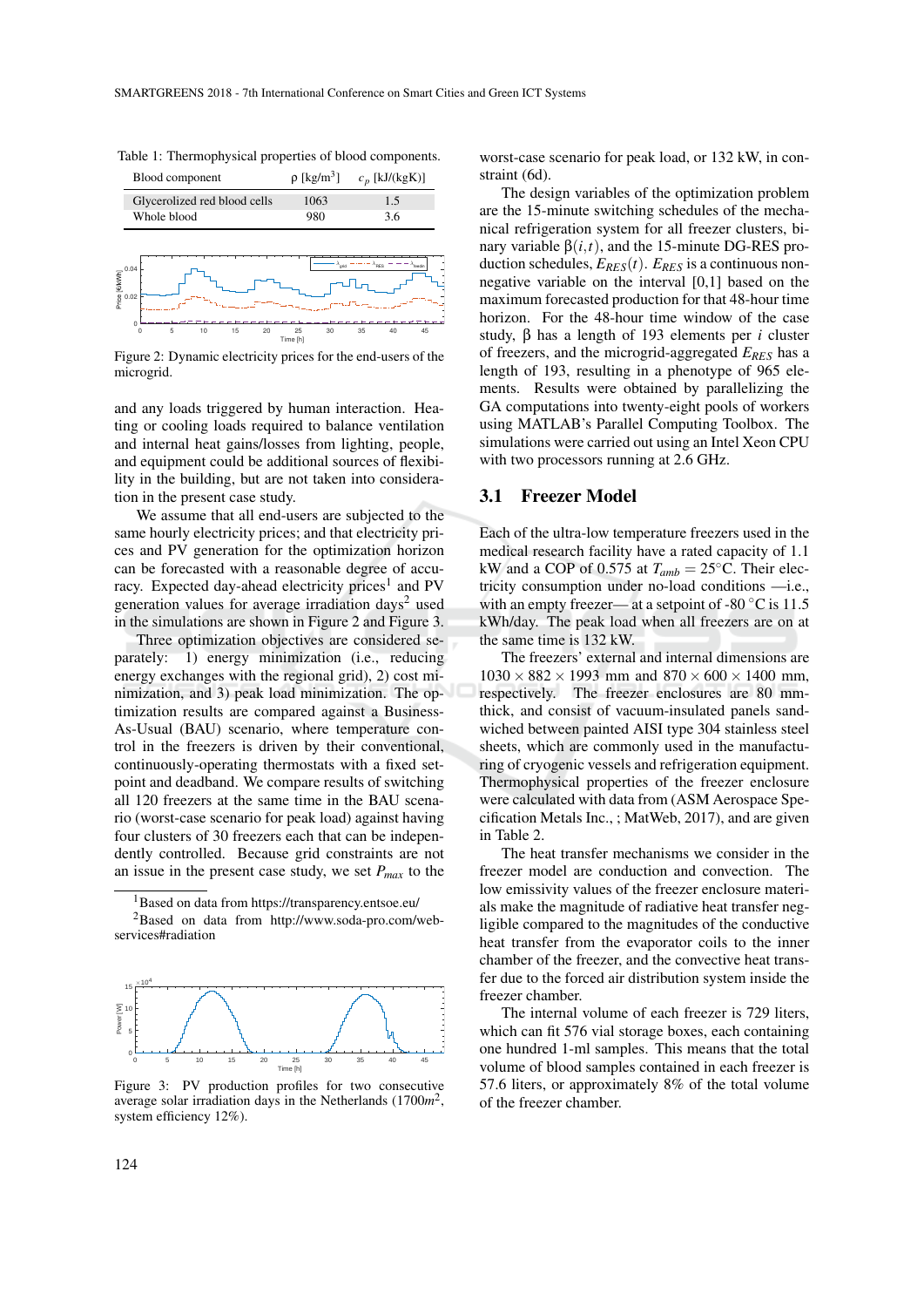Table 1: Thermophysical properties of blood components.



Figure 2: Dynamic electricity prices for the end-users of the microgrid.

and any loads triggered by human interaction. Heating or cooling loads required to balance ventilation and internal heat gains/losses from lighting, people, and equipment could be additional sources of flexibility in the building, but are not taken into consideration in the present case study.

We assume that all end-users are subjected to the same hourly electricity prices; and that electricity prices and PV generation for the optimization horizon can be forecasted with a reasonable degree of accuracy. Expected day-ahead electricity prices<sup>1</sup> and PV generation values for average irradiation days<sup>2</sup> used in the simulations are shown in Figure 2 and Figure 3.

Three optimization objectives are considered separately: 1) energy minimization (i.e., reducing energy exchanges with the regional grid), 2) cost minimization, and 3) peak load minimization. The optimization results are compared against a Business-As-Usual (BAU) scenario, where temperature control in the freezers is driven by their conventional, continuously-operating thermostats with a fixed setpoint and deadband. We compare results of switching all 120 freezers at the same time in the BAU scenario (worst-case scenario for peak load) against having four clusters of 30 freezers each that can be independently controlled. Because grid constraints are not an issue in the present case study, we set *Pmax* to the

<sup>2</sup>Based on data from http://www.soda-pro.com/webservices#radiation



Figure 3: PV production profiles for two consecutive average solar irradiation days in the Netherlands (1700*m* 2 , system efficiency 12%).

worst-case scenario for peak load, or 132 kW, in constraint (6d).

The design variables of the optimization problem are the 15-minute switching schedules of the mechanical refrigeration system for all freezer clusters, binary variable β(*i*,*t*), and the 15-minute DG-RES production schedules,  $E_{RES}(t)$ .  $E_{RES}$  is a continuous nonnegative variable on the interval [0,1] based on the maximum forecasted production for that 48-hour time horizon. For the 48-hour time window of the case study, β has a length of 193 elements per *i* cluster of freezers, and the microgrid-aggregated *ERES* has a length of 193, resulting in a phenotype of 965 elements. Results were obtained by parallelizing the GA computations into twenty-eight pools of workers using MATLAB's Parallel Computing Toolbox. The simulations were carried out using an Intel Xeon CPU with two processors running at 2.6 GHz.

#### 3.1 Freezer Model

Each of the ultra-low temperature freezers used in the medical research facility have a rated capacity of 1.1 kW and a COP of 0.575 at  $T_{amb} = 25^{\circ}$ C. Their electricity consumption under no-load conditions —i.e., with an empty freezer— at a setpoint of -80  $\degree$ C is 11.5 kWh/day. The peak load when all freezers are on at the same time is 132 kW.

The freezers' external and internal dimensions are  $1030 \times 882 \times 1993$  mm and  $870 \times 600 \times 1400$  mm. respectively. The freezer enclosures are 80 mmthick, and consist of vacuum-insulated panels sandwiched between painted AISI type 304 stainless steel sheets, which are commonly used in the manufacturing of cryogenic vessels and refrigeration equipment. Thermophysical properties of the freezer enclosure were calculated with data from (ASM Aerospace Specification Metals Inc., ; MatWeb, 2017), and are given in Table 2.

The heat transfer mechanisms we consider in the freezer model are conduction and convection. The low emissivity values of the freezer enclosure materials make the magnitude of radiative heat transfer negligible compared to the magnitudes of the conductive heat transfer from the evaporator coils to the inner chamber of the freezer, and the convective heat transfer due to the forced air distribution system inside the freezer chamber.

The internal volume of each freezer is 729 liters, which can fit 576 vial storage boxes, each containing one hundred 1-ml samples. This means that the total volume of blood samples contained in each freezer is 57.6 liters, or approximately 8% of the total volume of the freezer chamber.

<sup>&</sup>lt;sup>1</sup>Based on data from https://transparency.entsoe.eu/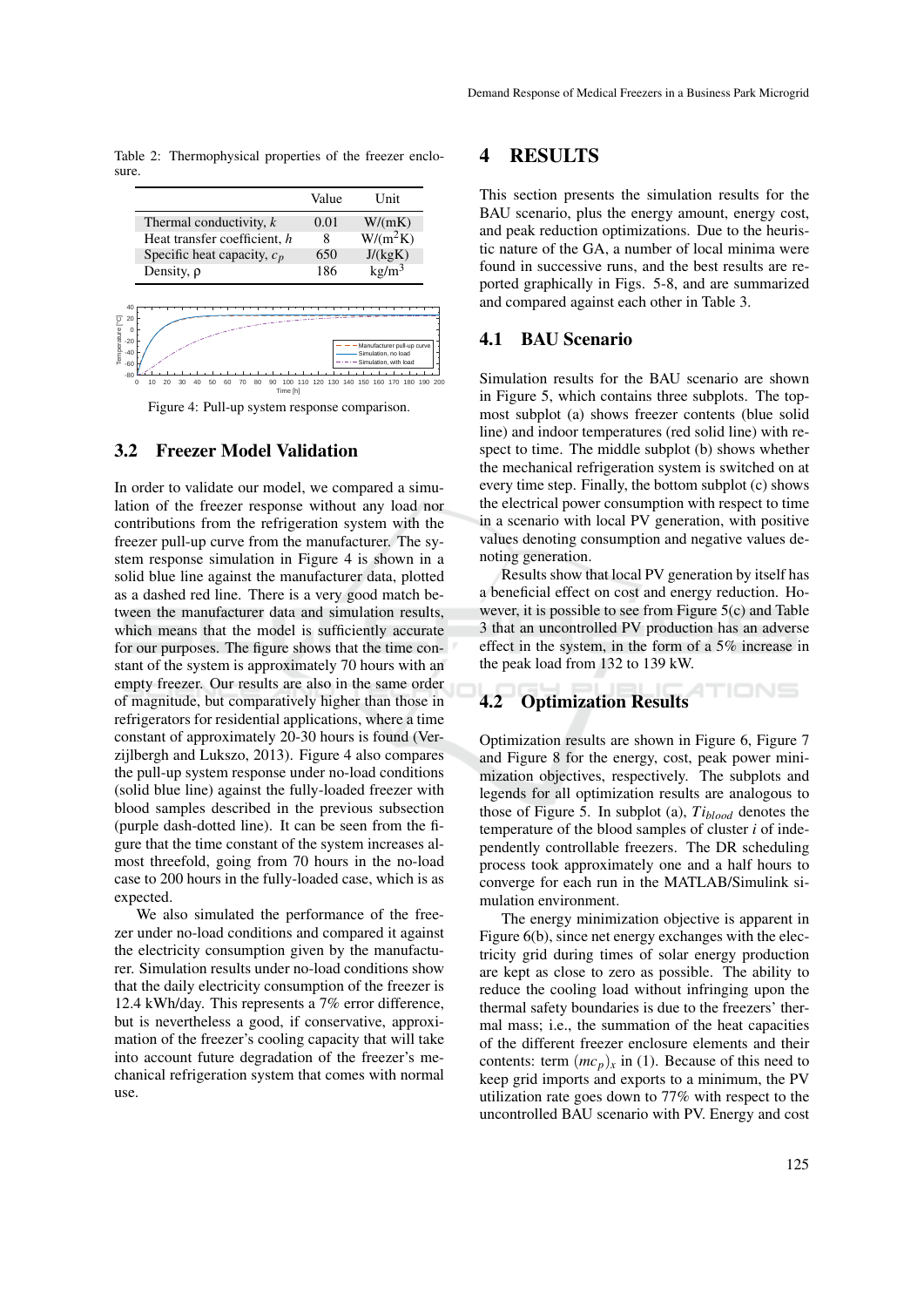Table 2: Thermophysical properties of the freezer enclosure.

|                               | Value | <b>Unit</b>       |
|-------------------------------|-------|-------------------|
| Thermal conductivity, $k$     | 0.01  | W/(mK)            |
| Heat transfer coefficient, h  | 8     | $W/(m^2K)$        |
| Specific heat capacity, $c_p$ | 650   | J/(kgK)           |
| Density, $\rho$               | 186   | kg/m <sup>3</sup> |



Figure 4: Pull-up system response comparison.

### 3.2 Freezer Model Validation

In order to validate our model, we compared a simulation of the freezer response without any load nor contributions from the refrigeration system with the freezer pull-up curve from the manufacturer. The system response simulation in Figure 4 is shown in a solid blue line against the manufacturer data, plotted as a dashed red line. There is a very good match between the manufacturer data and simulation results, which means that the model is sufficiently accurate for our purposes. The figure shows that the time constant of the system is approximately 70 hours with an empty freezer. Our results are also in the same order of magnitude, but comparatively higher than those in refrigerators for residential applications, where a time constant of approximately 20-30 hours is found (Verzijlbergh and Lukszo, 2013). Figure 4 also compares the pull-up system response under no-load conditions (solid blue line) against the fully-loaded freezer with blood samples described in the previous subsection (purple dash-dotted line). It can be seen from the figure that the time constant of the system increases almost threefold, going from 70 hours in the no-load case to 200 hours in the fully-loaded case, which is as expected.

We also simulated the performance of the freezer under no-load conditions and compared it against the electricity consumption given by the manufacturer. Simulation results under no-load conditions show that the daily electricity consumption of the freezer is 12.4 kWh/day. This represents a 7% error difference, but is nevertheless a good, if conservative, approximation of the freezer's cooling capacity that will take into account future degradation of the freezer's mechanical refrigeration system that comes with normal use.

### 4 RESULTS

This section presents the simulation results for the BAU scenario, plus the energy amount, energy cost, and peak reduction optimizations. Due to the heuristic nature of the GA, a number of local minima were found in successive runs, and the best results are reported graphically in Figs. 5-8, and are summarized and compared against each other in Table 3.

#### 4.1 BAU Scenario

Simulation results for the BAU scenario are shown in Figure 5, which contains three subplots. The topmost subplot (a) shows freezer contents (blue solid line) and indoor temperatures (red solid line) with respect to time. The middle subplot (b) shows whether the mechanical refrigeration system is switched on at every time step. Finally, the bottom subplot (c) shows the electrical power consumption with respect to time in a scenario with local PV generation, with positive values denoting consumption and negative values denoting generation.

Results show that local PV generation by itself has a beneficial effect on cost and energy reduction. However, it is possible to see from Figure 5(c) and Table 3 that an uncontrolled PV production has an adverse effect in the system, in the form of a 5% increase in the peak load from 132 to 139 kW.

#### TIONS 4.2 Optimization Results

Optimization results are shown in Figure 6, Figure 7 and Figure 8 for the energy, cost, peak power minimization objectives, respectively. The subplots and legends for all optimization results are analogous to those of Figure 5. In subplot (a), *Tiblood* denotes the temperature of the blood samples of cluster *i* of independently controllable freezers. The DR scheduling process took approximately one and a half hours to converge for each run in the MATLAB/Simulink simulation environment.

The energy minimization objective is apparent in Figure 6(b), since net energy exchanges with the electricity grid during times of solar energy production are kept as close to zero as possible. The ability to reduce the cooling load without infringing upon the thermal safety boundaries is due to the freezers' thermal mass; i.e., the summation of the heat capacities of the different freezer enclosure elements and their contents: term  $(mc_p)_x$  in (1). Because of this need to keep grid imports and exports to a minimum, the PV utilization rate goes down to 77% with respect to the uncontrolled BAU scenario with PV. Energy and cost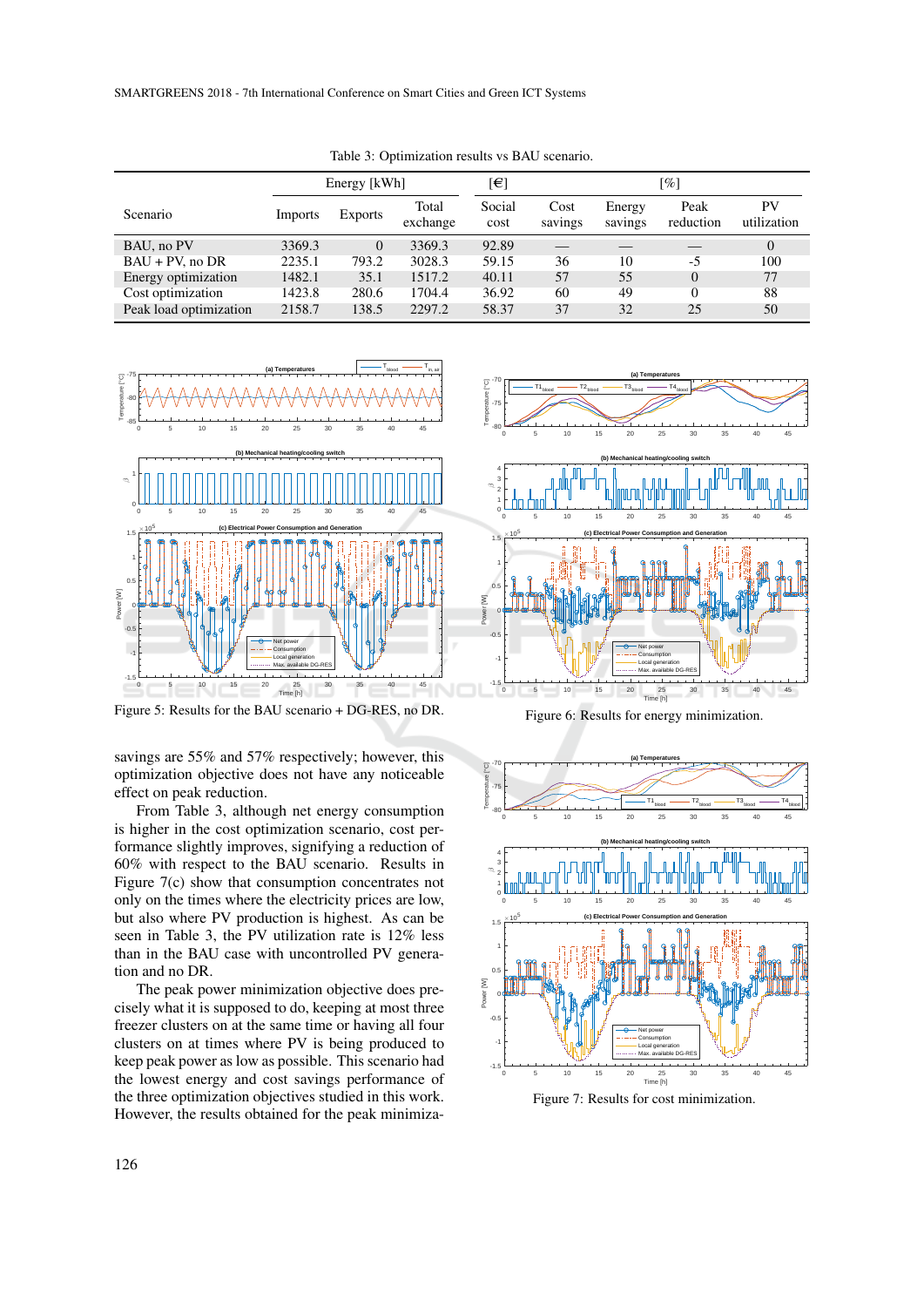|                        | Energy [kWh] |                |                   | [€]            | $\lceil \% \rceil$ |                   |                   |                   |
|------------------------|--------------|----------------|-------------------|----------------|--------------------|-------------------|-------------------|-------------------|
| <b>Scenario</b>        | Imports      | <b>Exports</b> | Total<br>exchange | Social<br>cost | Cost<br>savings    | Energy<br>savings | Peak<br>reduction | PV<br>utilization |
| BAU, no PV             | 3369.3       | $\Omega$       | 3369.3            | 92.89          |                    |                   |                   | $\Omega$          |
| $BAU + PV$ , no DR     | 2235.1       | 793.2          | 3028.3            | 59.15          | 36                 | 10                | $-5$              | 100               |
| Energy optimization    | 1482.1       | 35.1           | 1517.2            | 40.11          | 57                 | 55                | $\Omega$          | 77                |
| Cost optimization      | 1423.8       | 280.6          | 1704.4            | 36.92          | 60                 | 49                | $\Omega$          | 88                |
| Peak load optimization | 2158.7       | 138.5          | 2297.2            | 58.37          | 37                 | 32                | 25                | 50                |

Table 3: Optimization results vs BAU scenario.



Figure 5: Results for the BAU scenario + DG-RES, no DR.

savings are 55% and 57% respectively; however, this optimization objective does not have any noticeable effect on peak reduction.

From Table 3, although net energy consumption is higher in the cost optimization scenario, cost performance slightly improves, signifying a reduction of 60% with respect to the BAU scenario. Results in Figure 7(c) show that consumption concentrates not only on the times where the electricity prices are low, but also where PV production is highest. As can be seen in Table 3, the PV utilization rate is 12% less than in the BAU case with uncontrolled PV generation and no DR.

The peak power minimization objective does precisely what it is supposed to do, keeping at most three freezer clusters on at the same time or having all four clusters on at times where PV is being produced to keep peak power as low as possible. This scenario had the lowest energy and cost savings performance of the three optimization objectives studied in this work. However, the results obtained for the peak minimiza-



Figure 6: Results for energy minimization.



Figure 7: Results for cost minimization.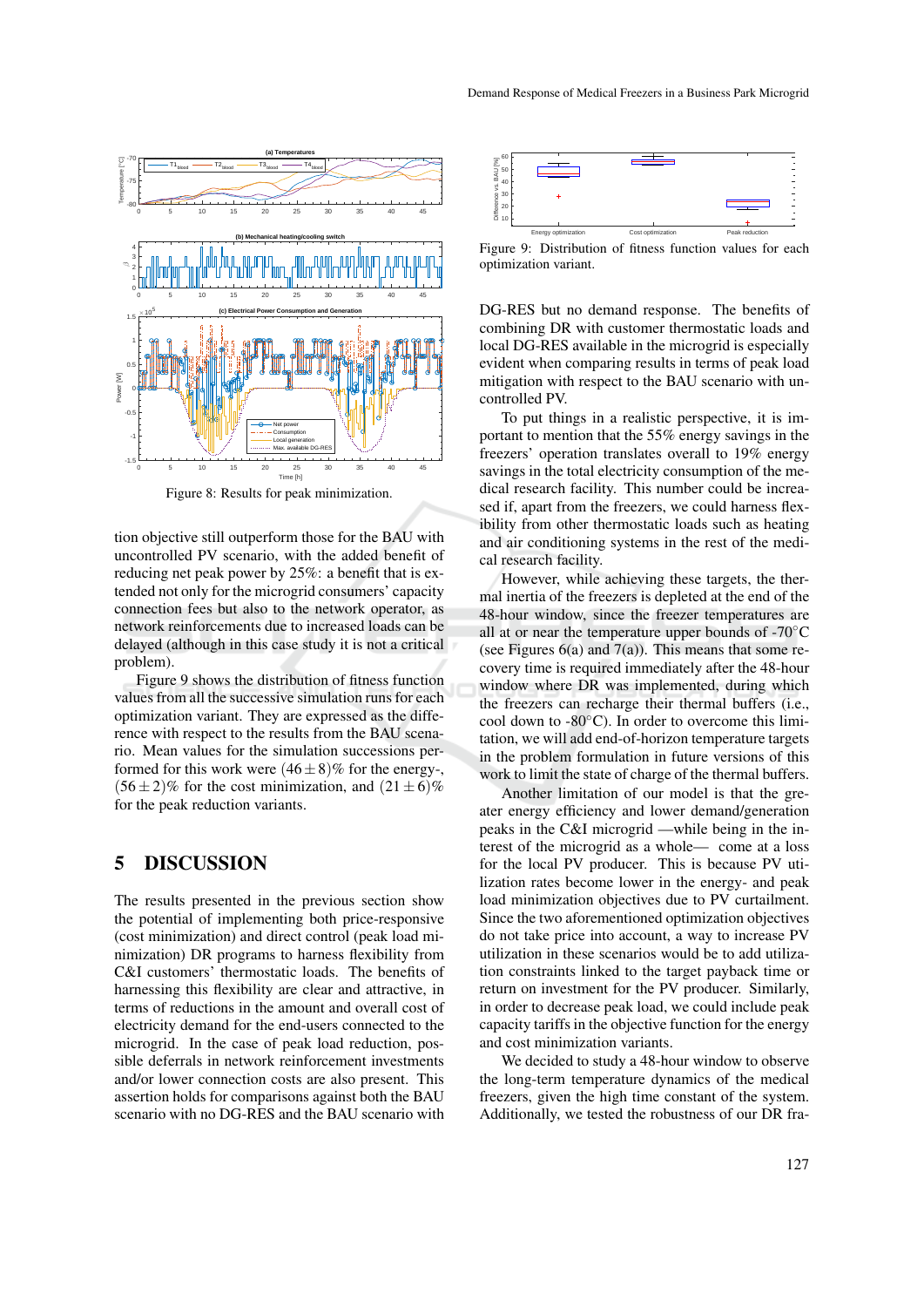

Figure 8: Results for peak minimization.

tion objective still outperform those for the BAU with uncontrolled PV scenario, with the added benefit of reducing net peak power by 25%: a benefit that is extended not only for the microgrid consumers' capacity connection fees but also to the network operator, as network reinforcements due to increased loads can be delayed (although in this case study it is not a critical problem).

Figure 9 shows the distribution of fitness function values from all the successive simulation runs for each optimization variant. They are expressed as the difference with respect to the results from the BAU scenario. Mean values for the simulation successions performed for this work were  $(46 \pm 8)\%$  for the energy-,  $(56 \pm 2)\%$  for the cost minimization, and  $(21 \pm 6)\%$ for the peak reduction variants.

### 5 DISCUSSION

The results presented in the previous section show the potential of implementing both price-responsive (cost minimization) and direct control (peak load minimization) DR programs to harness flexibility from C&I customers' thermostatic loads. The benefits of harnessing this flexibility are clear and attractive, in terms of reductions in the amount and overall cost of electricity demand for the end-users connected to the microgrid. In the case of peak load reduction, possible deferrals in network reinforcement investments and/or lower connection costs are also present. This assertion holds for comparisons against both the BAU scenario with no DG-RES and the BAU scenario with



Figure 9: Distribution of fitness function values for each optimization variant.

DG-RES but no demand response. The benefits of combining DR with customer thermostatic loads and local DG-RES available in the microgrid is especially evident when comparing results in terms of peak load mitigation with respect to the BAU scenario with uncontrolled PV.

To put things in a realistic perspective, it is important to mention that the 55% energy savings in the freezers' operation translates overall to 19% energy savings in the total electricity consumption of the medical research facility. This number could be increased if, apart from the freezers, we could harness flexibility from other thermostatic loads such as heating and air conditioning systems in the rest of the medical research facility.

However, while achieving these targets, the thermal inertia of the freezers is depleted at the end of the 48-hour window, since the freezer temperatures are all at or near the temperature upper bounds of -70◦C (see Figures  $6(a)$  and  $7(a)$ ). This means that some recovery time is required immediately after the 48-hour window where DR was implemented, during which the freezers can recharge their thermal buffers (i.e., cool down to -80◦C). In order to overcome this limitation, we will add end-of-horizon temperature targets in the problem formulation in future versions of this work to limit the state of charge of the thermal buffers.

Another limitation of our model is that the greater energy efficiency and lower demand/generation peaks in the C&I microgrid —while being in the interest of the microgrid as a whole— come at a loss for the local PV producer. This is because PV utilization rates become lower in the energy- and peak load minimization objectives due to PV curtailment. Since the two aforementioned optimization objectives do not take price into account, a way to increase PV utilization in these scenarios would be to add utilization constraints linked to the target payback time or return on investment for the PV producer. Similarly, in order to decrease peak load, we could include peak capacity tariffs in the objective function for the energy and cost minimization variants.

We decided to study a 48-hour window to observe the long-term temperature dynamics of the medical freezers, given the high time constant of the system. Additionally, we tested the robustness of our DR fra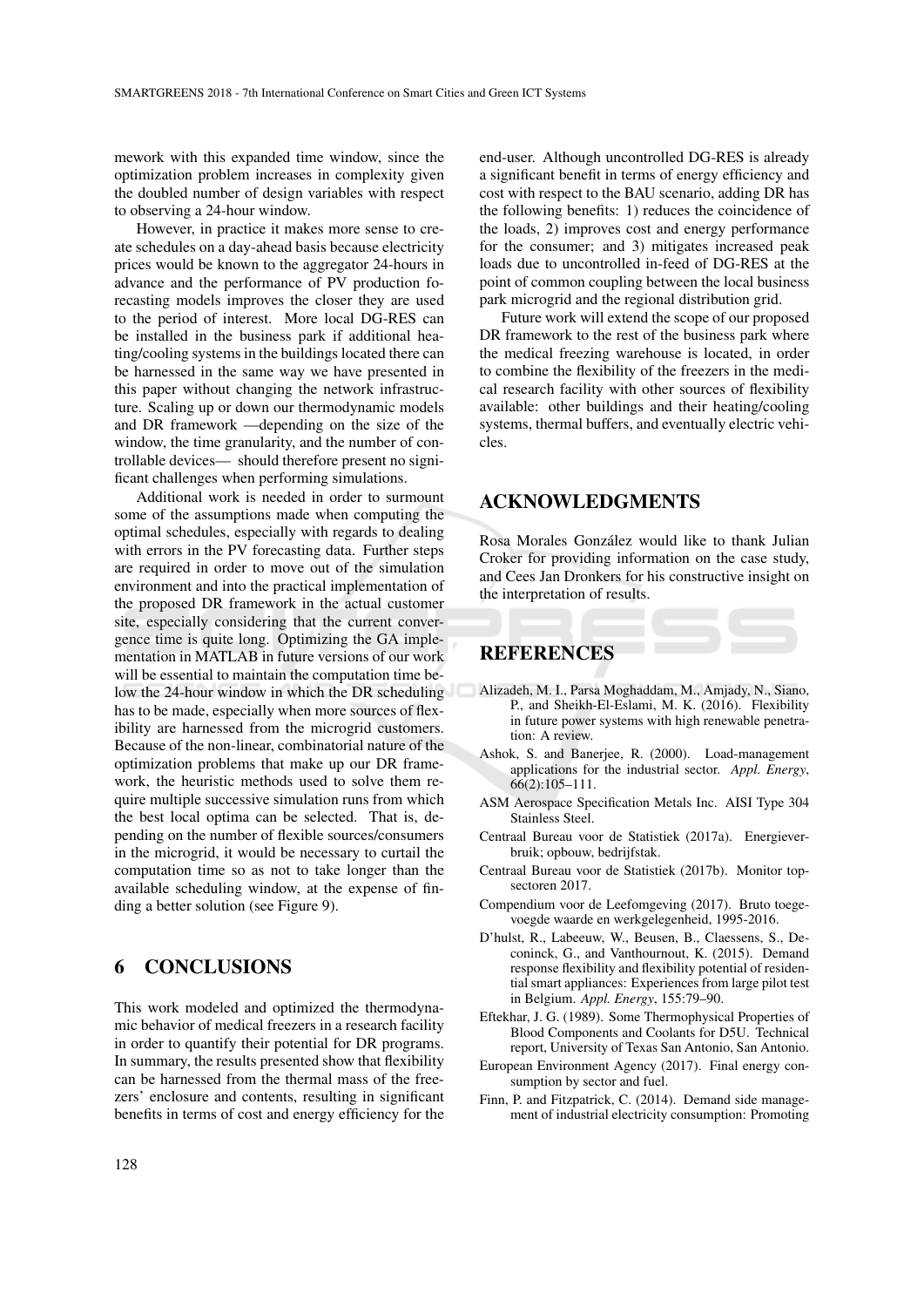mework with this expanded time window, since the optimization problem increases in complexity given the doubled number of design variables with respect to observing a 24-hour window.

However, in practice it makes more sense to create schedules on a day-ahead basis because electricity prices would be known to the aggregator 24-hours in advance and the performance of PV production forecasting models improves the closer they are used to the period of interest. More local DG-RES can be installed in the business park if additional heating/cooling systems in the buildings located there can be harnessed in the same way we have presented in this paper without changing the network infrastructure. Scaling up or down our thermodynamic models and DR framework —depending on the size of the window, the time granularity, and the number of controllable devices— should therefore present no significant challenges when performing simulations.

Additional work is needed in order to surmount some of the assumptions made when computing the optimal schedules, especially with regards to dealing with errors in the PV forecasting data. Further steps are required in order to move out of the simulation environment and into the practical implementation of the proposed DR framework in the actual customer site, especially considering that the current convergence time is quite long. Optimizing the GA implementation in MATLAB in future versions of our work will be essential to maintain the computation time below the 24-hour window in which the DR scheduling has to be made, especially when more sources of flexibility are harnessed from the microgrid customers. Because of the non-linear, combinatorial nature of the optimization problems that make up our DR framework, the heuristic methods used to solve them require multiple successive simulation runs from which the best local optima can be selected. That is, depending on the number of flexible sources/consumers in the microgrid, it would be necessary to curtail the computation time so as not to take longer than the available scheduling window, at the expense of finding a better solution (see Figure 9).

## 6 CONCLUSIONS

This work modeled and optimized the thermodynamic behavior of medical freezers in a research facility in order to quantify their potential for DR programs. In summary, the results presented show that flexibility can be harnessed from the thermal mass of the freezers' enclosure and contents, resulting in significant benefits in terms of cost and energy efficiency for the

end-user. Although uncontrolled DG-RES is already a significant benefit in terms of energy efficiency and cost with respect to the BAU scenario, adding DR has the following benefits: 1) reduces the coincidence of the loads, 2) improves cost and energy performance for the consumer; and 3) mitigates increased peak loads due to uncontrolled in-feed of DG-RES at the point of common coupling between the local business park microgrid and the regional distribution grid.

Future work will extend the scope of our proposed DR framework to the rest of the business park where the medical freezing warehouse is located, in order to combine the flexibility of the freezers in the medical research facility with other sources of flexibility available: other buildings and their heating/cooling systems, thermal buffers, and eventually electric vehicles.

## ACKNOWLEDGMENTS

Rosa Morales González would like to thank Julian Croker for providing information on the case study, and Cees Jan Dronkers for his constructive insight on the interpretation of results.

## **REFERENCES**

- Alizadeh, M. I., Parsa Moghaddam, M., Amjady, N., Siano, P., and Sheikh-El-Eslami, M. K. (2016). Flexibility in future power systems with high renewable penetration: A review.
- Ashok, S. and Banerjee, R. (2000). Load-management applications for the industrial sector. *Appl. Energy*, 66(2):105–111.
- ASM Aerospace Specification Metals Inc. AISI Type 304 Stainless Steel.
- Centraal Bureau voor de Statistiek (2017a). Energieverbruik; opbouw, bedrijfstak.
- Centraal Bureau voor de Statistiek (2017b). Monitor topsectoren 2017.
- Compendium voor de Leefomgeving (2017). Bruto toegevoegde waarde en werkgelegenheid, 1995-2016.
- D'hulst, R., Labeeuw, W., Beusen, B., Claessens, S., Deconinck, G., and Vanthournout, K. (2015). Demand response flexibility and flexibility potential of residential smart appliances: Experiences from large pilot test in Belgium. *Appl. Energy*, 155:79–90.
- Eftekhar, J. G. (1989). Some Thermophysical Properties of Blood Components and Coolants for D5U. Technical report, University of Texas San Antonio, San Antonio.
- European Environment Agency (2017). Final energy consumption by sector and fuel.
- Finn, P. and Fitzpatrick, C. (2014). Demand side management of industrial electricity consumption: Promoting